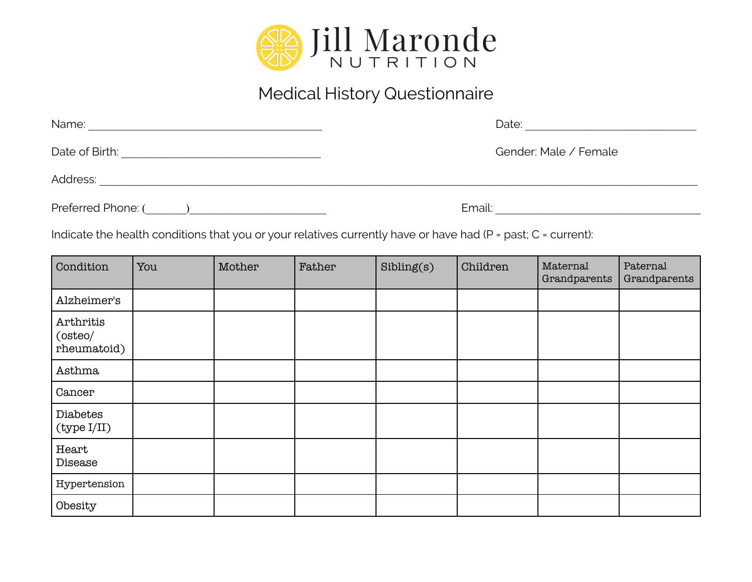

## Medical History Questionnaire

| Name:              | Date:                 |
|--------------------|-----------------------|
| Date of Birth:     | Gender: Male / Female |
| Address:           |                       |
| Preferred Phone: ( | Email:                |

Indicate the health conditions that you or your relatives currently have or have had (P = past; C = current):

| Condition                           | You | Mother | Father | Sibling(s) | Children | Maternal<br>Grandparents | Paternal<br>Grandparents |
|-------------------------------------|-----|--------|--------|------------|----------|--------------------------|--------------------------|
| Alzheimer's                         |     |        |        |            |          |                          |                          |
| Arthritis<br>(osteo/<br>rheumatoid) |     |        |        |            |          |                          |                          |
| Asthma                              |     |        |        |            |          |                          |                          |
| Cancer                              |     |        |        |            |          |                          |                          |
| Diabetes<br>(type I/II)             |     |        |        |            |          |                          |                          |
| Heart<br>Disease                    |     |        |        |            |          |                          |                          |
| Hypertension                        |     |        |        |            |          |                          |                          |
| Obesity                             |     |        |        |            |          |                          |                          |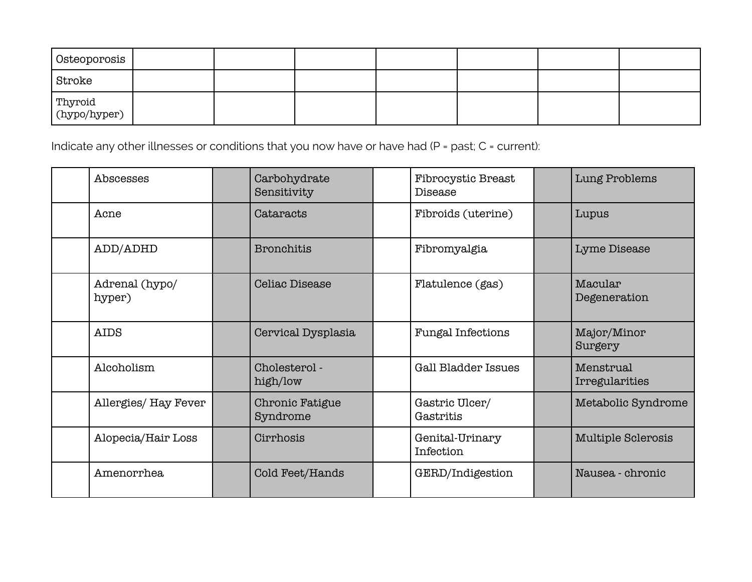| Osteoporosis            |  |  |  |  |
|-------------------------|--|--|--|--|
| Stroke                  |  |  |  |  |
| Thyroid<br>(hypo/hyper) |  |  |  |  |

Indicate any other illnesses or conditions that you now have or have had (P = past; C = current):

| Abscesses                | Carbohydrate<br>Sensitivity | <b>Fibrocystic Breast</b><br>Disease | Lung Problems               |
|--------------------------|-----------------------------|--------------------------------------|-----------------------------|
| Acne                     | Cataracts                   | Fibroids (uterine)                   | Lupus                       |
| ADD/ADHD                 | <b>Bronchitis</b>           | Fibromyalgia                         | Lyme Disease                |
| Adrenal (hypo/<br>hyper) | <b>Celiac Disease</b>       | Flatulence (gas)                     | Macular<br>Degeneration     |
| <b>AIDS</b>              | Cervical Dysplasia          | <b>Fungal Infections</b>             | Major/Minor<br>Surgery      |
| Alcoholism               | Cholesterol -<br>high/low   | <b>Gall Bladder Issues</b>           | Menstrual<br>Irregularities |
| Allergies/ Hay Fever     | Chronic Fatigue<br>Syndrome | Gastric Ulcer/<br>Gastritis          | Metabolic Syndrome          |
| Alopecia/Hair Loss       | Cirrhosis                   | Genital-Urinary<br>Infection         | <b>Multiple Sclerosis</b>   |
| Amenorrhea               | Cold Feet/Hands             | GERD/Indigestion                     | Nausea - chronic            |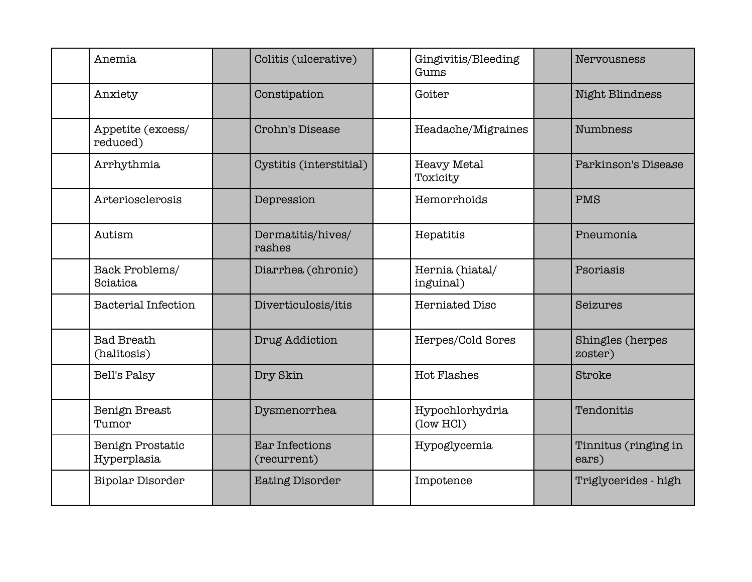| Anemia                            | Colitis (ulcerative)                 | Gingivitis/Bleeding<br>Gums    | Nervousness                   |
|-----------------------------------|--------------------------------------|--------------------------------|-------------------------------|
| Anxiety                           | Constipation                         | Goiter                         | Night Blindness               |
| Appetite (excess/<br>reduced)     | Crohn's Disease                      | Headache/Migraines             | <b>Numbness</b>               |
| Arrhythmia                        | Cystitis (interstitial)              | <b>Heavy Metal</b><br>Toxicity | Parkinson's Disease           |
| Arteriosclerosis                  | Depression                           | Hemorrhoids                    | PMS                           |
| Autism                            | Dermatitis/hives/<br>rashes          | Hepatitis                      | Pneumonia                     |
| Back Problems/<br><b>Sciatica</b> | Diarrhea (chronic)                   | Hernia (hiatal/<br>inguinal)   | Psoriasis                     |
| <b>Bacterial Infection</b>        | Diverticulosis/itis                  | <b>Herniated Disc</b>          | Seizures                      |
| <b>Bad Breath</b><br>(halitosis)  | Drug Addiction                       | Herpes/Cold Sores              | Shingles (herpes<br>zoster)   |
| Bell's Palsy                      | Dry Skin                             | <b>Hot Flashes</b>             | Stroke                        |
| Benign Breast<br>Tumor            | Dysmenorrhea                         | Hypochlorhydria<br>(low HCl)   | Tendonitis                    |
| Benign Prostatic<br>Hyperplasia   | <b>Ear Infections</b><br>(recurrent) | Hypoglycemia                   | Tinnitus (ringing in<br>ears) |
| <b>Bipolar Disorder</b>           | <b>Eating Disorder</b>               | Impotence                      | Triglycerides - high          |